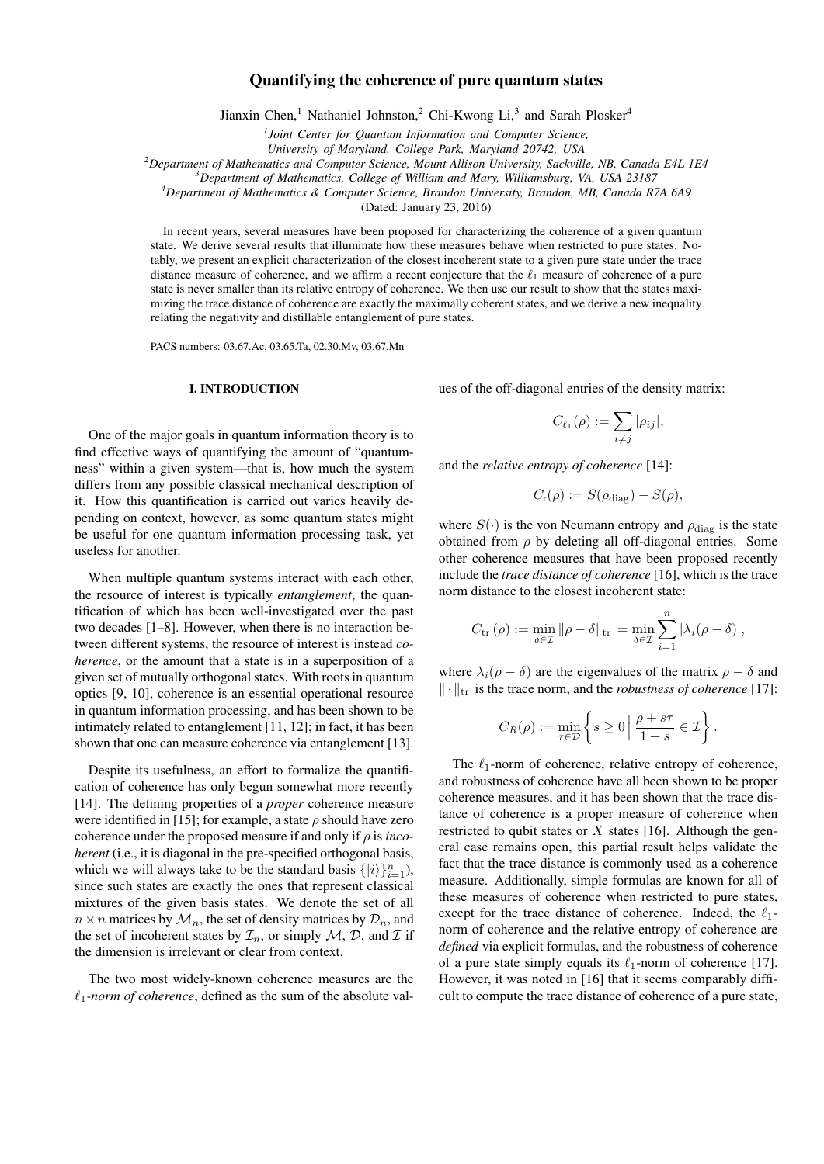# Quantifying the coherence of pure quantum states

Jianxin Chen,<sup>1</sup> Nathaniel Johnston,<sup>2</sup> Chi-Kwong Li,<sup>3</sup> and Sarah Plosker<sup>4</sup>

*1 Joint Center for Quantum Information and Computer Science,*

*University of Maryland, College Park, Maryland 20742, USA*

*<sup>2</sup>Department of Mathematics and Computer Science, Mount Allison University, Sackville, NB, Canada E4L 1E4*

*<sup>3</sup>Department of Mathematics, College of William and Mary, Williamsburg, VA, USA 23187*

*<sup>4</sup>Department of Mathematics & Computer Science, Brandon University, Brandon, MB, Canada R7A 6A9*

(Dated: January 23, 2016)

In recent years, several measures have been proposed for characterizing the coherence of a given quantum state. We derive several results that illuminate how these measures behave when restricted to pure states. Notably, we present an explicit characterization of the closest incoherent state to a given pure state under the trace distance measure of coherence, and we affirm a recent conjecture that the  $\ell_1$  measure of coherence of a pure state is never smaller than its relative entropy of coherence. We then use our result to show that the states maximizing the trace distance of coherence are exactly the maximally coherent states, and we derive a new inequality relating the negativity and distillable entanglement of pure states.

PACS numbers: 03.67.Ac, 03.65.Ta, 02.30.Mv, 03.67.Mn

## I. INTRODUCTION

ues of the off-diagonal entries of the density matrix:

$$
C_{\ell_1}(\rho) := \sum_{i \neq j} |\rho_{ij}|,
$$

and the *relative entropy of coherence* [14]:

$$
C_{\rm r}(\rho) := S(\rho_{\rm diag}) - S(\rho),
$$

where  $S(\cdot)$  is the von Neumann entropy and  $\rho_{\text{diag}}$  is the state obtained from  $\rho$  by deleting all off-diagonal entries. Some other coherence measures that have been proposed recently include the *trace distance of coherence* [16], which is the trace norm distance to the closest incoherent state:

$$
C_{\text{tr}}(\rho) := \min_{\delta \in \mathcal{I}} \|\rho - \delta\|_{\text{tr}} = \min_{\delta \in \mathcal{I}} \sum_{i=1}^{n} |\lambda_i(\rho - \delta)|,
$$

where  $\lambda_i(\rho - \delta)$  are the eigenvalues of the matrix  $\rho - \delta$  and  $\|\cdot\|_{\text{tr}}$  is the trace norm, and the *robustness of coherence* [17]:

$$
C_R(\rho) := \min_{\tau \in \mathcal{D}} \left\{ s \ge 0 \, \middle| \, \frac{\rho + s\tau}{1 + s} \in \mathcal{I} \right\}.
$$

The  $\ell_1$ -norm of coherence, relative entropy of coherence, and robustness of coherence have all been shown to be proper coherence measures, and it has been shown that the trace distance of coherence is a proper measure of coherence when restricted to qubit states or  $X$  states [16]. Although the general case remains open, this partial result helps validate the fact that the trace distance is commonly used as a coherence measure. Additionally, simple formulas are known for all of these measures of coherence when restricted to pure states, except for the trace distance of coherence. Indeed, the  $\ell_1$ norm of coherence and the relative entropy of coherence are *defined* via explicit formulas, and the robustness of coherence of a pure state simply equals its  $\ell_1$ -norm of coherence [17]. However, it was noted in [16] that it seems comparably difficult to compute the trace distance of coherence of a pure state,

One of the major goals in quantum information theory is to find effective ways of quantifying the amount of "quantumness" within a given system—that is, how much the system differs from any possible classical mechanical description of it. How this quantification is carried out varies heavily depending on context, however, as some quantum states might be useful for one quantum information processing task, yet useless for another.

When multiple quantum systems interact with each other, the resource of interest is typically *entanglement*, the quantification of which has been well-investigated over the past two decades [1–8]. However, when there is no interaction between different systems, the resource of interest is instead *coherence*, or the amount that a state is in a superposition of a given set of mutually orthogonal states. With roots in quantum optics [9, 10], coherence is an essential operational resource in quantum information processing, and has been shown to be intimately related to entanglement [11, 12]; in fact, it has been shown that one can measure coherence via entanglement [13].

Despite its usefulness, an effort to formalize the quantification of coherence has only begun somewhat more recently [14]. The defining properties of a *proper* coherence measure were identified in [15]; for example, a state  $\rho$  should have zero coherence under the proposed measure if and only if ρ is *incoherent* (i.e., it is diagonal in the pre-specified orthogonal basis, which we will always take to be the standard basis  $\{|i\rangle\}_{i=1}^n$ ), since such states are exactly the ones that represent classical mixtures of the given basis states. We denote the set of all  $n \times n$  matrices by  $\mathcal{M}_n$ , the set of density matrices by  $\mathcal{D}_n$ , and the set of incoherent states by  $\mathcal{I}_n$ , or simply  $\mathcal{M}, \mathcal{D}$ , and  $\mathcal{I}$  if the dimension is irrelevant or clear from context.

The two most widely-known coherence measures are the  $\ell_1$ -norm of coherence, defined as the sum of the absolute val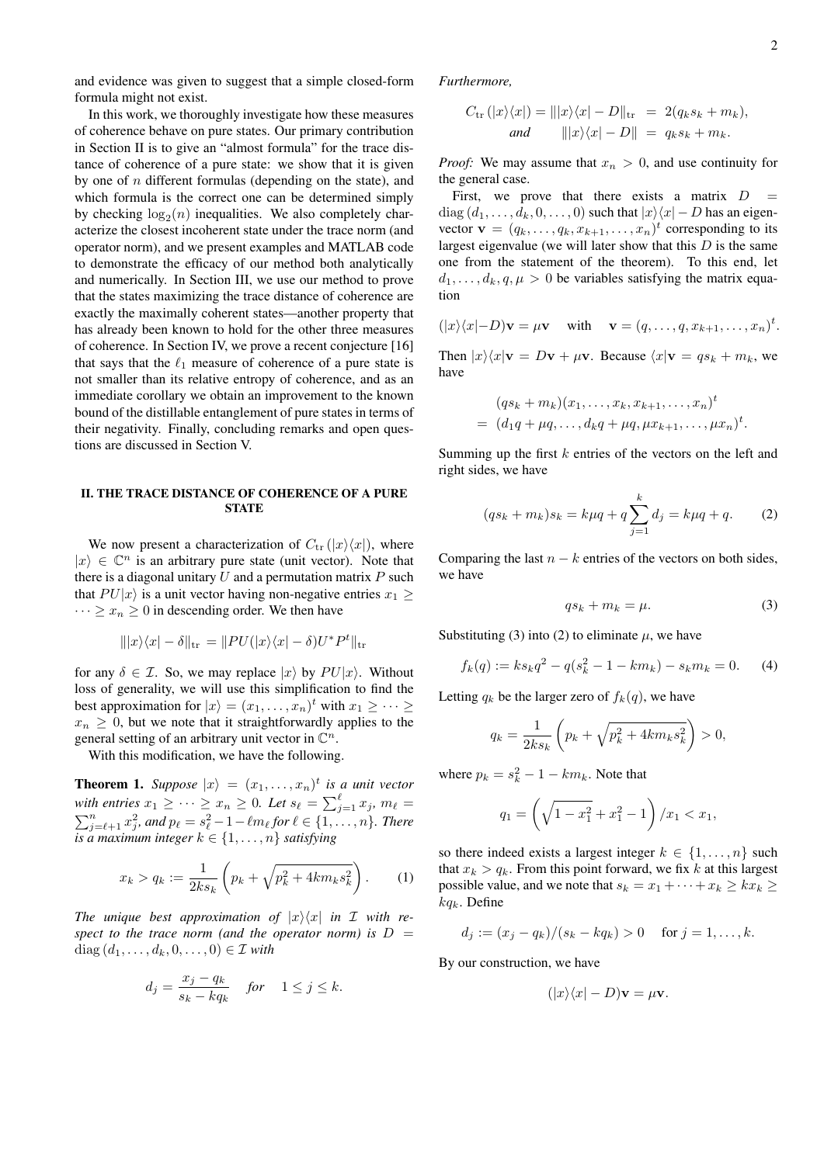and evidence was given to suggest that a simple closed-form formula might not exist.

In this work, we thoroughly investigate how these measures of coherence behave on pure states. Our primary contribution in Section II is to give an "almost formula" for the trace distance of coherence of a pure state: we show that it is given by one of  $n$  different formulas (depending on the state), and which formula is the correct one can be determined simply by checking  $log_2(n)$  inequalities. We also completely characterize the closest incoherent state under the trace norm (and operator norm), and we present examples and MATLAB code to demonstrate the efficacy of our method both analytically and numerically. In Section III, we use our method to prove that the states maximizing the trace distance of coherence are exactly the maximally coherent states—another property that has already been known to hold for the other three measures of coherence. In Section IV, we prove a recent conjecture [16] that says that the  $\ell_1$  measure of coherence of a pure state is not smaller than its relative entropy of coherence, and as an immediate corollary we obtain an improvement to the known bound of the distillable entanglement of pure states in terms of their negativity. Finally, concluding remarks and open questions are discussed in Section V.

# II. THE TRACE DISTANCE OF COHERENCE OF A PURE **STATE**

We now present a characterization of  $C_{\text{tr}}(|x\rangle\langle x|)$ , where  $|x\rangle \in \mathbb{C}^n$  is an arbitrary pure state (unit vector). Note that there is a diagonal unitary  $U$  and a permutation matrix  $P$  such that  $PU|x\rangle$  is a unit vector having non-negative entries  $x_1 >$  $\cdots \geq x_n \geq 0$  in descending order. We then have

$$
\| |x\rangle\langle x| - \delta \|_{\text{tr}} = \| PU(|x\rangle\langle x| - \delta)U^*P^t \|_{\text{tr}}
$$

for any  $\delta \in \mathcal{I}$ . So, we may replace  $|x\rangle$  by  $PU|x\rangle$ . Without loss of generality, we will use this simplification to find the best approximation for  $|x\rangle = (x_1, \ldots, x_n)^t$  with  $x_1 \geq \cdots \geq$  $x_n \geq 0$ , but we note that it straightforwardly applies to the general setting of an arbitrary unit vector in  $\mathbb{C}^n$ .

With this modification, we have the following.

**Theorem 1.** Suppose  $|x\rangle = (x_1, \ldots, x_n)^t$  is a unit vector with entries  $x_1 \geq \cdots \geq x_n \geq 0$ . Let  $s_\ell = \sum_{j=1}^\ell x_j$ ,  $m_\ell =$  $\sum_{j=\ell+1}^{n} x_j^2$ , and  $p_{\ell} = s_{\ell}^2 - 1 - \ell m_{\ell}$  for  $\ell \in \{1, ..., n\}$ . There *is a maximum integer*  $k \in \{1, \ldots, n\}$  *satisfying* 

$$
x_k > q_k := \frac{1}{2ks_k} \left( p_k + \sqrt{p_k^2 + 4km_ks_k^2} \right). \tag{1}
$$

*The unique best approximation of*  $|x\rangle\langle x|$  *in I with re*spect to the trace norm (and the operator norm) is  $D =$ diag  $(d_1, \ldots, d_k, 0, \ldots, 0) \in \mathcal{I}$  *with* 

$$
d_j = \frac{x_j - q_k}{s_k - kq_k} \quad \text{for} \quad 1 \le j \le k.
$$

*Furthermore,*

$$
C_{\text{tr}}(|x\rangle\langle x|) = |||x\rangle\langle x| - D||_{\text{tr}} = 2(q_k s_k + m_k),
$$
  
and 
$$
|||x\rangle\langle x| - D|| = q_k s_k + m_k.
$$

*Proof:* We may assume that  $x_n > 0$ , and use continuity for the general case.

First, we prove that there exists a matrix  $D =$  $diag (d_1, \ldots, d_k, 0, \ldots, 0)$  such that  $|x\rangle\langle x| - D$  has an eigenvector  $\mathbf{v} = (q_k, \dots, q_k, x_{k+1}, \dots, x_n)^t$  corresponding to its largest eigenvalue (we will later show that this  $D$  is the same one from the statement of the theorem). To this end, let  $d_1, \ldots, d_k, q, \mu > 0$  be variables satisfying the matrix equation

$$
(|x\rangle\langle x|-D)\mathbf{v}=\mu\mathbf{v}\quad\text{ with }\quad\mathbf{v}=(q,\ldots,q,x_{k+1},\ldots,x_n)^t.
$$

Then  $|x\rangle\langle x|\mathbf{v} = D\mathbf{v} + \mu\mathbf{v}$ . Because  $\langle x|\mathbf{v} = qs_k + m_k$ , we have

$$
(qs_k + m_k)(x_1, ..., x_k, x_{k+1}, ..., x_n)^t
$$
  
=  $(d_1q + \mu q, ..., d_kq + \mu q, \mu x_{k+1}, ..., \mu x_n)^t$ .

Summing up the first  $k$  entries of the vectors on the left and right sides, we have

$$
(qs_k + m_k)s_k = k\mu q + q \sum_{j=1}^k d_j = k\mu q + q. \tag{2}
$$

Comparing the last  $n - k$  entries of the vectors on both sides, we have

$$
qs_k + m_k = \mu. \tag{3}
$$

Substituting (3) into (2) to eliminate  $\mu$ , we have

$$
f_k(q) := ks_k q^2 - q(s_k^2 - 1 - km_k) - s_k m_k = 0.
$$
 (4)

Letting  $q_k$  be the larger zero of  $f_k(q)$ , we have

$$
q_k = \frac{1}{2ks_k} \left( p_k + \sqrt{p_k^2 + 4km_ks_k^2} \right) > 0,
$$

where  $p_k = s_k^2 - 1 - km_k$ . Note that

$$
q_1 = \left(\sqrt{1 - x_1^2} + x_1^2 - 1\right) / x_1 < x_1,
$$

so there indeed exists a largest integer  $k \in \{1, \ldots, n\}$  such that  $x_k > q_k$ . From this point forward, we fix k at this largest possible value, and we note that  $s_k = x_1 + \cdots + x_k \geq kx_k \geq$  $kq_k$ . Define

$$
d_j := (x_j - q_k)/(s_k - kq_k) > 0
$$
 for  $j = 1, ..., k$ .

By our construction, we have

$$
(|x\rangle\langle x| - D)\mathbf{v} = \mu\mathbf{v}.
$$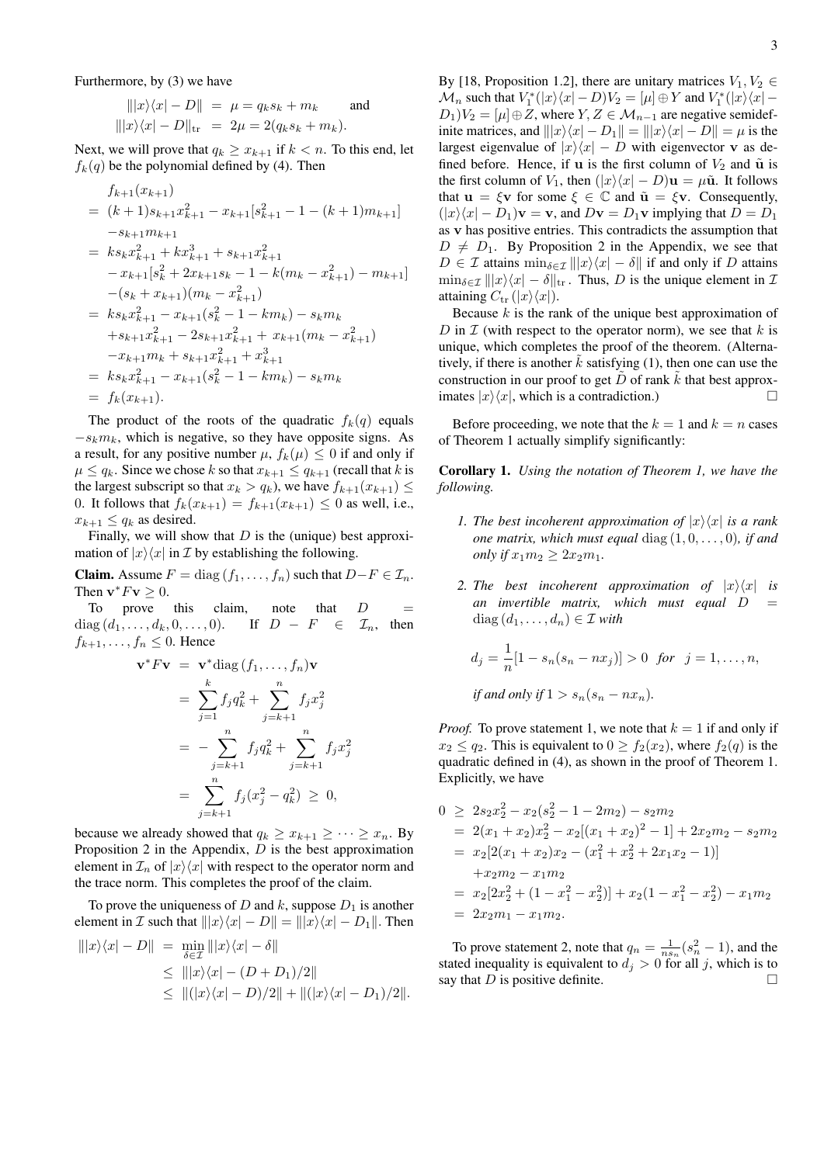Furthermore, by (3) we have

$$
|||x\rangle\langle x| - D|| = \mu = q_k s_k + m_k
$$
 and  
\n $|||x\rangle\langle x| - D||_{\text{tr}} = 2\mu = 2(q_k s_k + m_k).$ 

Next, we will prove that  $q_k \ge x_{k+1}$  if  $k < n$ . To this end, let  $f_k(q)$  be the polynomial defined by (4). Then

$$
f_{k+1}(x_{k+1})
$$
  
=  $(k+1)s_{k+1}x_{k+1}^2 - x_{k+1}[s_{k+1}^2 - 1 - (k+1)m_{k+1}]$   
 $-s_{k+1}m_{k+1}$   
=  $ks_kx_{k+1}^2 + kx_{k+1}^3 + s_{k+1}x_{k+1}^2$   
 $- x_{k+1}[s_k^2 + 2x_{k+1}s_k - 1 - k(m_k - x_{k+1}^2) - m_{k+1}]$   
 $- (s_k + x_{k+1})(m_k - x_{k+1}^2)$   
=  $ks_kx_{k+1}^2 - x_{k+1}(s_k^2 - 1 - km_k) - s_km_k$   
 $+ s_{k+1}x_{k+1}^2 - 2s_{k+1}x_{k+1}^2 + x_{k+1}(m_k - x_{k+1}^2)$   
 $- x_{k+1}m_k + s_{k+1}x_{k+1}^2 + x_{k+1}^3$   
=  $ks_kx_{k+1}^2 - x_{k+1}(s_k^2 - 1 - km_k) - s_km_k$   
=  $f_k(x_{k+1})$ .

The product of the roots of the quadratic  $f_k(q)$  equals  $-s_k m_k$ , which is negative, so they have opposite signs. As a result, for any positive number  $\mu$ ,  $f_k(\mu) \leq 0$  if and only if  $\mu \le q_k$ . Since we chose k so that  $x_{k+1} \le q_{k+1}$  (recall that k is the largest subscript so that  $x_k > q_k$ ), we have  $f_{k+1}(x_{k+1}) \leq$ 0. It follows that  $f_k(x_{k+1}) = f_{k+1}(x_{k+1}) \le 0$  as well, i.e.,  $x_{k+1} \leq q_k$  as desired.

Finally, we will show that  $D$  is the (unique) best approximation of  $|x\rangle\langle x|$  in *I* by establishing the following.

**Claim.** Assume  $F = \text{diag}(f_1, \ldots, f_n)$  such that  $D - F \in \mathcal{I}_n$ . Then  $\mathbf{v}^* F \mathbf{v} \geq 0$ .

To prove this claim, note that  $D$  $diag (d_1, \ldots, d_k, 0, \ldots, 0).$  If  $D - F \in \mathcal{I}_n$ , then  $f_{k+1}, \ldots, f_n \leq 0$ . Hence

$$
\mathbf{v}^* F \mathbf{v} = \mathbf{v}^* \text{diag}(f_1, ..., f_n) \mathbf{v}
$$
  
=  $\sum_{j=1}^k f_j q_k^2 + \sum_{j=k+1}^n f_j x_j^2$   
=  $-\sum_{j=k+1}^n f_j q_k^2 + \sum_{j=k+1}^n f_j x_j^2$   
=  $\sum_{j=k+1}^n f_j (x_j^2 - q_k^2) \ge 0$ ,

because we already showed that  $q_k \ge x_{k+1} \ge \cdots \ge x_n$ . By Proposition 2 in the Appendix,  $D$  is the best approximation element in  $\mathcal{I}_n$  of  $|x\rangle\langle x|$  with respect to the operator norm and the trace norm. This completes the proof of the claim.

To prove the uniqueness of  $D$  and  $k$ , suppose  $D_1$  is another element in *I* such that  $\|x\langle x| - D\| = \|x\langle x| - D_1\|$ . Then

$$
\begin{aligned} |||x\rangle\langle x| - D|| &= \min_{\delta \in \mathcal{I}} |||x\rangle\langle x| - \delta|| \\ &\le |||x\rangle\langle x| - (D + D_1)/2|| \\ &\le ||(x\rangle\langle x| - D)/2|| + ||(|x\rangle\langle x| - D_1)/2||. \end{aligned}
$$

By [18, Proposition 1.2], there are unitary matrices  $V_1, V_2 \in$  $\mathcal{M}_n$  such that  $V_1^*(x|\sqrt{x} - D)V_2 = [\mu] \oplus Y$  and  $V_1^*(x|\sqrt{x} - D)V_2$  $D_1)V_2 = [\mu] \oplus Z$ , where  $Y, Z \in \mathcal{M}_{n-1}$  are negative semidefinite matrices, and  $||x\rangle\langle x| - D_1|| = ||x\rangle\langle x| - D|| = \mu$  is the largest eigenvalue of  $|x\rangle\langle x| - D$  with eigenvector v as defined before. Hence, if **u** is the first column of  $V_2$  and  $\tilde{u}$  is the first column of  $V_1$ , then  $(|x\rangle\langle x| - D)\mathbf{u} = \mu\tilde{\mathbf{u}}$ . It follows

that  $u = \xi v$  for some  $\xi \in \mathbb{C}$  and  $\tilde{u} = \xi v$ . Consequently,  $(|x\rangle\langle x| - D_1)\mathbf{v} = \mathbf{v}$ , and  $D\mathbf{v} = D_1\mathbf{v}$  implying that  $D = D_1$ as v has positive entries. This contradicts the assumption that  $D \neq D_1$ . By Proposition 2 in the Appendix, we see that  $D \in \mathcal{I}$  attains  $\min_{\delta \in \mathcal{I}} ||x\rangle\langle x| - \delta||$  if and only if D attains  $\min_{\delta \in \mathcal{I}} ||x\rangle\langle x| - \delta||_{\text{tr}}$ . Thus, D is the unique element in  $\mathcal{I}$ attaining  $C_{tr} (|x\rangle\langle x|)$ .

Because  $k$  is the rank of the unique best approximation of D in  $\mathcal I$  (with respect to the operator norm), we see that k is unique, which completes the proof of the theorem. (Alternatively, if there is another  $k$  satisfying (1), then one can use the construction in our proof to get  $\ddot{D}$  of rank k that best approximates  $|x\rangle\langle x|$ , which is a contradiction.)

Before proceeding, we note that the  $k = 1$  and  $k = n$  cases of Theorem 1 actually simplify significantly:

Corollary 1. *Using the notation of Theorem 1, we have the following.*

- *1. The best incoherent approximation of*  $|x\rangle\langle x|$  *is a rank one matrix, which must equal* diag (1, 0, . . . , 0)*, if and only if*  $x_1m_2 > 2x_2m_1$ .
- 2. The best incoherent approximation of  $|x\rangle\langle x|$  is *an invertible matrix, which must equal* D =  $diag(d_1, \ldots, d_n) \in \mathcal{I}$  *with*

$$
d_j = \frac{1}{n}[1 - s_n(s_n - nx_j)] > 0 \text{ for } j = 1, \dots, n,
$$
  
if and only if  $1 > s_n(s_n - nx_n)$ .

*Proof.* To prove statement 1, we note that  $k = 1$  if and only if  $x_2 \le q_2$ . This is equivalent to  $0 \ge f_2(x_2)$ , where  $f_2(q)$  is the quadratic defined in (4), as shown in the proof of Theorem 1. Explicitly, we have

$$
0 \ge 2s_2x_2^2 - x_2(s_2^2 - 1 - 2m_2) - s_2m_2
$$
  
=  $2(x_1 + x_2)x_2^2 - x_2[(x_1 + x_2)^2 - 1] + 2x_2m_2 - s_2m_2$   
=  $x_2[2(x_1 + x_2)x_2 - (x_1^2 + x_2^2 + 2x_1x_2 - 1)]$   
+ $x_2m_2 - x_1m_2$   
=  $x_2[2x_2^2 + (1 - x_1^2 - x_2^2)] + x_2(1 - x_1^2 - x_2^2) - x_1m_2$   
=  $2x_2m_1 - x_1m_2$ .

To prove statement 2, note that  $q_n = \frac{1}{ns_n}(s_n^2 - 1)$ , and the stated inequality is equivalent to  $d_i > 0$  for all j, which is to say that  $D$  is positive definite.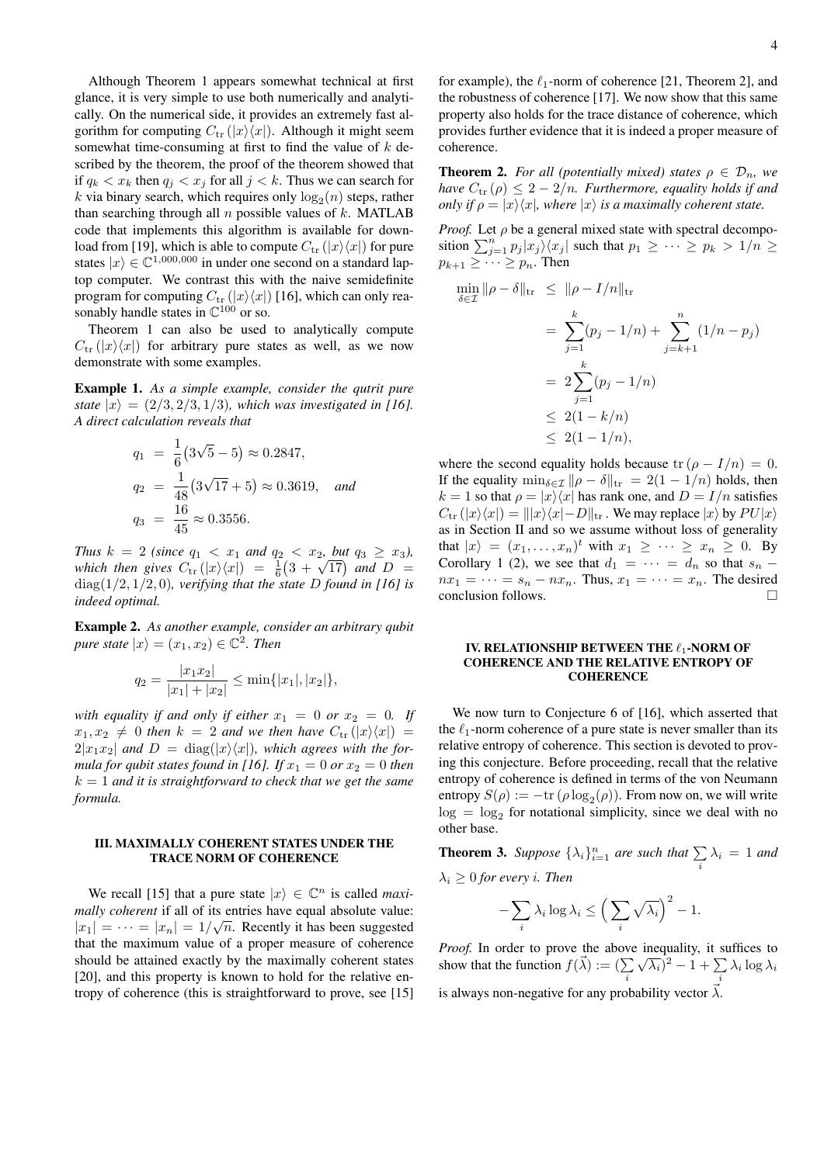Although Theorem 1 appears somewhat technical at first glance, it is very simple to use both numerically and analytically. On the numerical side, it provides an extremely fast algorithm for computing  $C_{\text{tr}}(|x\rangle\langle x|)$ . Although it might seem somewhat time-consuming at first to find the value of  $k$  described by the theorem, the proof of the theorem showed that if  $q_k < x_k$  then  $q_i < x_j$  for all  $j < k$ . Thus we can search for k via binary search, which requires only  $\log_2(n)$  steps, rather than searching through all  $n$  possible values of  $k$ . MATLAB code that implements this algorithm is available for download from [19], which is able to compute  $C_{tr}(|x\rangle\langle x|)$  for pure states  $|x\rangle \in \mathbb{C}^{1,000,000}$  in under one second on a standard laptop computer. We contrast this with the naive semidefinite program for computing  $C_{\text{tr}}(|x\rangle\langle x|)$  [16], which can only reasonably handle states in  $\mathbb{C}^{100}$  or so.

Theorem 1 can also be used to analytically compute  $C_{\text{tr}}(|x\rangle\langle x|)$  for arbitrary pure states as well, as we now demonstrate with some examples.

Example 1. *As a simple example, consider the qutrit pure state*  $|x\rangle = (2/3, 2/3, 1/3)$ *, which was investigated in [16]. A direct calculation reveals that*

$$
q_1 = \frac{1}{6}(3\sqrt{5} - 5) \approx 0.2847,
$$
  
\n
$$
q_2 = \frac{1}{48}(3\sqrt{17} + 5) \approx 0.3619, \text{ and}
$$
  
\n
$$
q_3 = \frac{16}{45} \approx 0.3556.
$$

*Thus*  $k = 2$  *(since*  $q_1 < x_1$  *and*  $q_2 < x_2$ *, but*  $q_3 \ge x_3$ *), Inus k* = 2 (since  $q_1 < x_1$  and  $q_2 < x_2$ , but  $q_3 \ge x_3$ ),<br>which then gives  $C_{tr}(|x\rangle\langle x|) = \frac{1}{6}(3 + \sqrt{17})$  and D = diag(1/2, 1/2, 0)*, verifying that the state* D *found in [16] is indeed optimal.*

Example 2. *As another example, consider an arbitrary qubit pure state*  $|x\rangle = (x_1, x_2) \in \mathbb{C}^2$ . *Then* 

$$
q_2 = \frac{|x_1 x_2|}{|x_1| + |x_2|} \le \min\{|x_1|, |x_2|\},
$$

*with equality if and only if either*  $x_1 = 0$  *or*  $x_2 = 0$ *. If*  $x_1, x_2 \neq 0$  then  $k = 2$  and we then have  $C_{tr}(|x\rangle\langle x|) =$  $2|x_1x_2|$  and  $D = \text{diag}(|x\rangle\langle x|)$ , which agrees with the for*mula for qubit states found in [16]. If*  $x_1 = 0$  *or*  $x_2 = 0$  *then* k = 1 *and it is straightforward to check that we get the same formula.*

# III. MAXIMALLY COHERENT STATES UNDER THE TRACE NORM OF COHERENCE

We recall [15] that a pure state  $|x\rangle \in \mathbb{C}^n$  is called *maximally coherent* if all of its entries have equal absolute value:  $|x_1| = \cdots = |x_n| = 1/\sqrt{n}$ . Recently it has been suggested that the maximum value of a proper measure of coherence should be attained exactly by the maximally coherent states [20], and this property is known to hold for the relative entropy of coherence (this is straightforward to prove, see [15] for example), the  $\ell_1$ -norm of coherence [21, Theorem 2], and the robustness of coherence [17]. We now show that this same property also holds for the trace distance of coherence, which provides further evidence that it is indeed a proper measure of coherence.

**Theorem 2.** *For all (potentially mixed) states*  $\rho \in \mathcal{D}_n$ *, we have*  $C_{tr}(\rho) \leq 2 - 2/n$ *. Furthermore, equality holds if and only if*  $\rho = |x\rangle\langle x|$ *, where*  $|x\rangle$  *is a maximally coherent state.* 

*Proof.* Let  $\rho$  be a general mixed state with spectral decomposition  $\sum_{j=1}^{n} p_j |x_j\rangle\langle x_j|$  such that  $p_1 \geq \cdots \geq p_k > 1/n$  $p_{k+1} \geq \cdots \geq p_n$ . Then

$$
\min_{\delta \in \mathcal{I}} \|\rho - \delta\|_{\text{tr}} \le \|\rho - I/n\|_{\text{tr}}
$$

$$
= \sum_{j=1}^{k} (p_j - 1/n) + \sum_{j=k+1}^{n} (1/n - p_j)
$$
  
=  $2 \sum_{j=1}^{k} (p_j - 1/n)$   
 $\leq 2(1 - k/n)$   
 $\leq 2(1 - 1/n),$ 

where the second equality holds because  $tr (\rho - I/n) = 0$ . If the equality  $\min_{\delta \in \mathcal{I}} || \rho - \delta ||_{tr} = 2(1 - 1/n)$  holds, then  $k = 1$  so that  $\rho = |x\rangle\langle x|$  has rank one, and  $D = I/n$  satisfies  $C_{\text{tr}}(|x\rangle\langle x|) = ||x\rangle\langle x| - D||_{\text{tr}}$ . We may replace  $|x\rangle$  by  $PU|x\rangle$ as in Section II and so we assume without loss of generality that  $|x\rangle = (x_1, \ldots, x_n)^t$  with  $x_1 \geq \cdots \geq x_n \geq 0$ . By Corollary 1 (2), we see that  $d_1 = \cdots = d_n$  so that  $s_n$  –  $nx_1 = \cdots = s_n - nx_n$ . Thus,  $x_1 = \cdots = x_n$ . The desired conclusion follows.

# IV. RELATIONSHIP BETWEEN THE  $\ell_1$ -NORM OF COHERENCE AND THE RELATIVE ENTROPY OF **COHERENCE**

We now turn to Conjecture 6 of [16], which asserted that the  $\ell_1$ -norm coherence of a pure state is never smaller than its relative entropy of coherence. This section is devoted to proving this conjecture. Before proceeding, recall that the relative entropy of coherence is defined in terms of the von Neumann entropy  $S(\rho) := -\text{tr}(\rho \log_2(\rho))$ . From now on, we will write  $log = log<sub>2</sub>$  for notational simplicity, since we deal with no other base.

**Theorem 3.** Suppose  $\{\lambda_i\}_{i=1}^n$  are such that  $\sum_i \lambda_i = 1$  and  $\lambda_i \geq 0$  *for every i. Then* 

$$
-\sum_{i}\lambda_i\log\lambda_i\leq\Big(\sum_{i}\sqrt{\lambda_i}\Big)^2-1.
$$

*Proof.* In order to prove the above inequality, it suffices to show that the function  $f(\vec{\lambda}) := (\sum$  $\sum_i \sqrt{\lambda_i}$ )<sup>2</sup> - 1 +  $\sum_i$  $\sum_i \lambda_i \log \lambda_i$ is always non-negative for any probability vector  $\vec{\lambda}$ .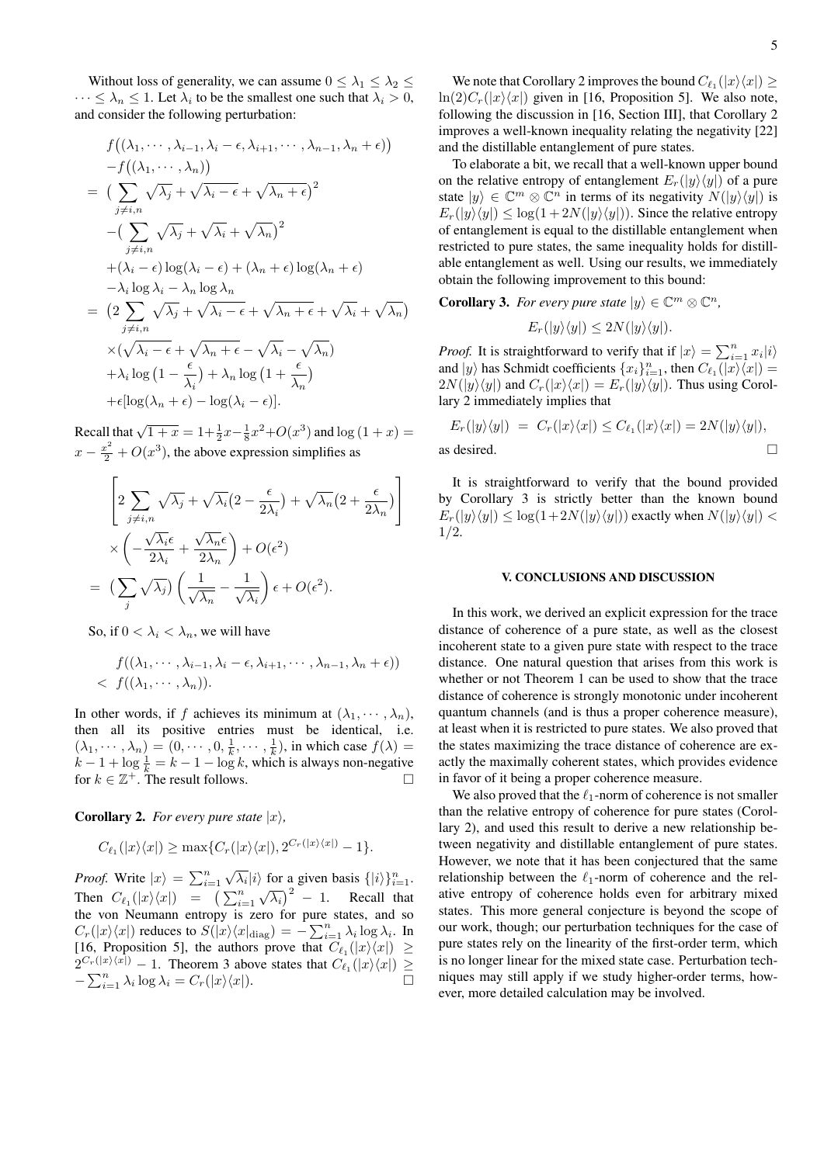Without loss of generality, we can assume  $0 \leq \lambda_1 \leq \lambda_2 \leq$  $\cdots \leq \lambda_n \leq 1$ . Let  $\lambda_i$  to be the smallest one such that  $\lambda_i > 0$ , and consider the following perturbation:

$$
f((\lambda_1, \dots, \lambda_{i-1}, \lambda_i - \epsilon, \lambda_{i+1}, \dots, \lambda_{n-1}, \lambda_n + \epsilon))
$$
  
\n
$$
-f((\lambda_1, \dots, \lambda_n))
$$
  
\n
$$
= \left(\sum_{j \neq i, n} \sqrt{\lambda_j} + \sqrt{\lambda_i - \epsilon} + \sqrt{\lambda_n + \epsilon}\right)^2
$$
  
\n
$$
- \left(\sum_{j \neq i, n} \sqrt{\lambda_j} + \sqrt{\lambda_i} + \sqrt{\lambda_n}\right)^2
$$
  
\n
$$
+ (\lambda_i - \epsilon) \log(\lambda_i - \epsilon) + (\lambda_n + \epsilon) \log(\lambda_n + \epsilon)
$$
  
\n
$$
- \lambda_i \log \lambda_i - \lambda_n \log \lambda_n
$$
  
\n
$$
= \left(2 \sum_{j \neq i, n} \sqrt{\lambda_j} + \sqrt{\lambda_i - \epsilon} + \sqrt{\lambda_n + \epsilon} + \sqrt{\lambda_i} + \sqrt{\lambda_n}\right)
$$
  
\n
$$
\times (\sqrt{\lambda_i - \epsilon} + \sqrt{\lambda_n + \epsilon} - \sqrt{\lambda_i} - \sqrt{\lambda_n})
$$
  
\n
$$
+ \lambda_i \log (1 - \frac{\epsilon}{\lambda_i}) + \lambda_n \log (1 + \frac{\epsilon}{\lambda_n})
$$
  
\n
$$
+ \epsilon [\log(\lambda_n + \epsilon) - \log(\lambda_i - \epsilon)].
$$

Recall that  $\sqrt{1+x} = 1 + \frac{1}{2}x - \frac{1}{8}x^2 + O(x^3)$  and  $\log(1+x) =$  $x - \frac{x^2}{2} + O(x^3)$ , the above expression simplifies as

$$
\left[2\sum_{j\neq i,n}\sqrt{\lambda_j} + \sqrt{\lambda_i}\left(2 - \frac{\epsilon}{2\lambda_i}\right) + \sqrt{\lambda_n}\left(2 + \frac{\epsilon}{2\lambda_n}\right)\right]
$$

$$
\times \left(-\frac{\sqrt{\lambda_i}\epsilon}{2\lambda_i} + \frac{\sqrt{\lambda_n}\epsilon}{2\lambda_n}\right) + O(\epsilon^2)
$$

$$
= \left(\sum_j \sqrt{\lambda_j}\right)\left(\frac{1}{\sqrt{\lambda_n}} - \frac{1}{\sqrt{\lambda_i}}\right)\epsilon + O(\epsilon^2).
$$

So, if  $0 < \lambda_i < \lambda_n$ , we will have

$$
f((\lambda_1, \cdots, \lambda_{i-1}, \lambda_i - \epsilon, \lambda_{i+1}, \cdots, \lambda_{n-1}, \lambda_n + \epsilon))
$$
  
< 
$$
f((\lambda_1, \cdots, \lambda_n)).
$$

In other words, if f achieves its minimum at  $(\lambda_1, \dots, \lambda_n)$ , then all its positive entries must be identical, i.e.  $(\lambda_1, \dots, \lambda_n) = (0, \dots, 0, \frac{1}{k}, \dots, \frac{1}{k})$ , in which case  $f(\lambda) =$  $k-1 + \log \frac{1}{k} = k-1 - \log k$ , which is always non-negative for  $k \in \mathbb{Z}^+$ . The result follows.

**Corollary 2.** *For every pure state*  $|x\rangle$ *,* 

$$
C_{\ell_1}(|x\rangle\langle x|) \ge \max\{C_r(|x\rangle\langle x|), 2^{C_r(|x\rangle\langle x|)} - 1\}.
$$

*Proof.* Write  $|x\rangle = \sum_{i=1}^{n}$  $\sqrt{\lambda_i} |i\rangle$  for a given basis  $\{|i\rangle\}_{i=1}^n$ . Then  $C_{\ell_1}(|x\rangle\langle x|) = (\sum_{i=1}^n$  $(\sqrt{\lambda_i})^2 - 1$ . Recall that the von Neumann entropy is zero for pure states, and so  $C_r(|x\rangle\langle x|)$  reduces to  $S(|x\rangle\langle x|_{\text{diag}}) = -\sum_{i=1}^n \lambda_i \log \lambda_i$ . In [16, Proposition 5], the authors prove that  $C_{\ell_1}(|x\rangle\langle x|) \geq$  $2^{C_r(|x\rangle\langle x|)} - 1$ . Theorem 3 above states that  $C_{\ell_1}(|x\rangle\langle x|) \ge$  $-\sum_{i=1}^n \lambda_i \log \lambda_i = C_r(|x\rangle\langle x|).$  5

We note that Corollary 2 improves the bound  $C_{\ell_1}(|x\rangle\langle x|) \geq$  $\ln(2)C_r(|x\rangle\langle x|)$  given in [16, Proposition 5]. We also note, following the discussion in [16, Section III], that Corollary 2 improves a well-known inequality relating the negativity [22] and the distillable entanglement of pure states.

To elaborate a bit, we recall that a well-known upper bound on the relative entropy of entanglement  $E_r(|y\rangle\langle y|)$  of a pure state  $|y\rangle \in \mathbb{C}^m \otimes \mathbb{C}^n$  in terms of its negativity  $N(|y\rangle\langle y|)$  is  $E_r(|y\rangle\langle y|) \leq \log(1+2N(|y\rangle\langle y|))$ . Since the relative entropy of entanglement is equal to the distillable entanglement when restricted to pure states, the same inequality holds for distillable entanglement as well. Using our results, we immediately obtain the following improvement to this bound:

**Corollary 3.** For every pure state  $|y\rangle \in \mathbb{C}^m \otimes \mathbb{C}^n$ ,

$$
E_r(|y\rangle\langle y|) \le 2N(|y\rangle\langle y|).
$$

*Proof.* It is straightforward to verify that if  $|x\rangle = \sum_{i=1}^{n} x_i |i\rangle$ and  $|y\rangle$  has Schmidt coefficients  $\{x_i\}_{i=1}^n$ , then  $C_{\ell_1}(|x\rangle\langle x|) =$  $2N(|y\rangle\langle y|)$  and  $C_r(|x\rangle\langle x|) = E_r(|y\rangle\langle y|)$ . Thus using Corollary 2 immediately implies that

$$
E_r(|y\rangle\langle y|) = C_r(|x\rangle\langle x|) \le C_{\ell_1}(|x\rangle\langle x|) = 2N(|y\rangle\langle y|),
$$
as desired.

It is straightforward to verify that the bound provided by Corollary 3 is strictly better than the known bound  $E_r(|y\rangle\langle y|) \leq \log(1+2N(|y\rangle\langle y|))$  exactly when  $N(|y\rangle\langle y|)$  < 1/2.

#### V. CONCLUSIONS AND DISCUSSION

In this work, we derived an explicit expression for the trace distance of coherence of a pure state, as well as the closest incoherent state to a given pure state with respect to the trace distance. One natural question that arises from this work is whether or not Theorem 1 can be used to show that the trace distance of coherence is strongly monotonic under incoherent quantum channels (and is thus a proper coherence measure), at least when it is restricted to pure states. We also proved that the states maximizing the trace distance of coherence are exactly the maximally coherent states, which provides evidence in favor of it being a proper coherence measure.

We also proved that the  $\ell_1$ -norm of coherence is not smaller than the relative entropy of coherence for pure states (Corollary 2), and used this result to derive a new relationship between negativity and distillable entanglement of pure states. However, we note that it has been conjectured that the same relationship between the  $\ell_1$ -norm of coherence and the relative entropy of coherence holds even for arbitrary mixed states. This more general conjecture is beyond the scope of our work, though; our perturbation techniques for the case of pure states rely on the linearity of the first-order term, which is no longer linear for the mixed state case. Perturbation techniques may still apply if we study higher-order terms, however, more detailed calculation may be involved.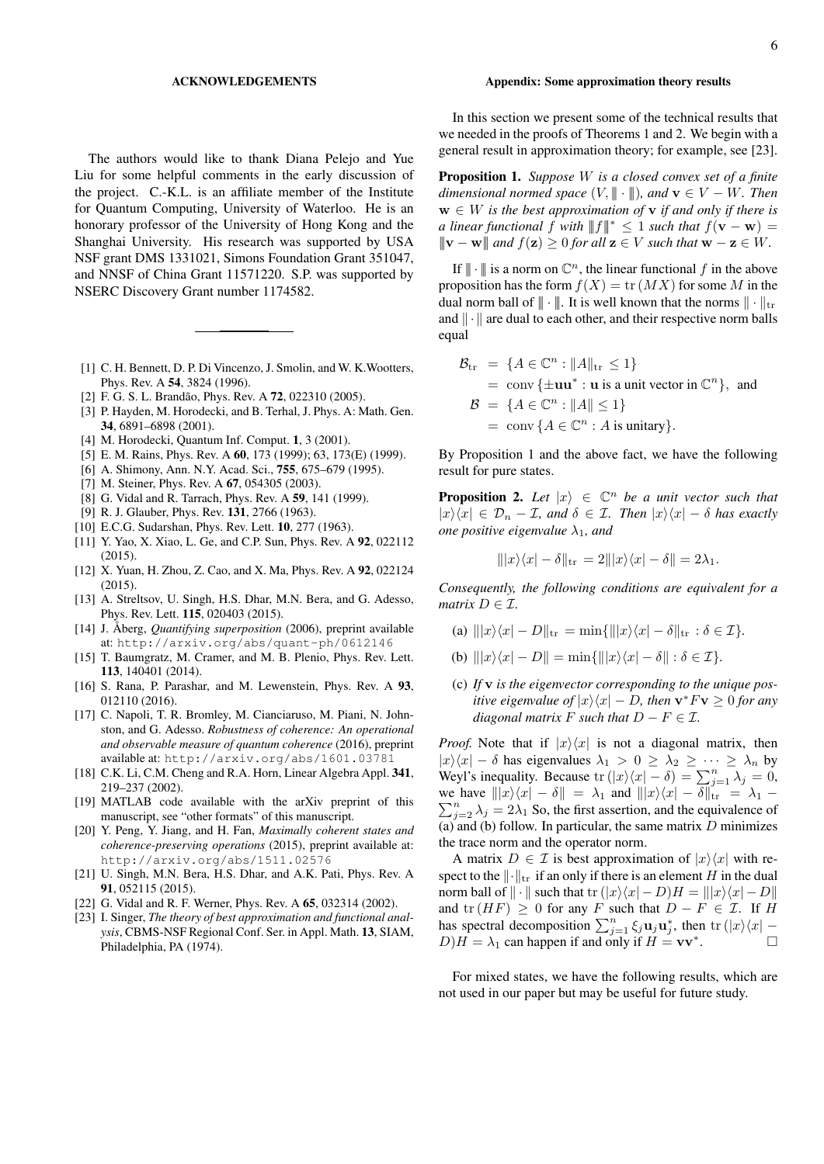#### ACKNOWLEDGEMENTS

The authors would like to thank Diana Pelejo and Yue Liu for some helpful comments in the early discussion of the project. C.-K.L. is an affiliate member of the Institute for Quantum Computing, University of Waterloo. He is an honorary professor of the University of Hong Kong and the Shanghai University. His research was supported by USA NSF grant DMS 1331021, Simons Foundation Grant 351047, and NNSF of China Grant 11571220. S.P. was supported by NSERC Discovery Grant number 1174582.

- [1] C. H. Bennett, D. P. Di Vincenzo, J. Smolin, and W. K. Wootters, Phys. Rev. A 54, 3824 (1996).
- [2] F. G. S. L. Brandão, Phys. Rev. A 72, 022310 (2005).
- [3] P. Hayden, M. Horodecki, and B. Terhal, J. Phys. A: Math. Gen. 34, 6891–6898 (2001).
- [4] M. Horodecki, Quantum Inf. Comput. 1, 3 (2001).
- [5] E. M. Rains, Phys. Rev. A 60, 173 (1999); 63, 173(E) (1999).
- [6] A. Shimony, Ann. N.Y. Acad. Sci., 755, 675–679 (1995).
- [7] M. Steiner, Phys. Rev. A 67, 054305 (2003).
- [8] G. Vidal and R. Tarrach, Phys. Rev. A 59, 141 (1999).
- [9] R. J. Glauber, Phys. Rev. 131, 2766 (1963).
- [10] E.C.G. Sudarshan, Phys. Rev. Lett. **10**, 277 (1963).
- [11] Y. Yao, X. Xiao, L. Ge, and C.P. Sun, Phys. Rev. A 92, 022112  $(2015)$
- [12] X. Yuan, H. Zhou, Z. Cao, and X. Ma, Phys. Rev. A 92, 022124 (2015).
- [13] A. Streltsov, U. Singh, H.S. Dhar, M.N. Bera, and G. Adesso, Phys. Rev. Lett. 115, 020403 (2015).
- [14] J. Åberg, *Quantifying superposition* (2006), preprint available at: http://arxiv.org/abs/quant-ph/0612146
- [15] T. Baumgratz, M. Cramer, and M. B. Plenio, Phys. Rev. Lett. 113, 140401 (2014).
- [16] S. Rana, P. Parashar, and M. Lewenstein, Phys. Rev. A 93, 012110 (2016).
- [17] C. Napoli, T. R. Bromley, M. Cianciaruso, M. Piani, N. Johnston, and G. Adesso. *Robustness of coherence: An operational and observable measure of quantum coherence* (2016), preprint available at: http://arxiv.org/abs/1601.03781
- [18] C.K. Li, C.M. Cheng and R.A. Horn, Linear Algebra Appl. 341, 219–237 (2002).
- [19] MATLAB code available with the arXiv preprint of this manuscript, see "other formats" of this manuscript.
- [20] Y. Peng, Y. Jiang, and H. Fan, *Maximally coherent states and coherence-preserving operations* (2015), preprint available at: http://arxiv.org/abs/1511.02576
- [21] U. Singh, M.N. Bera, H.S. Dhar, and A.K. Pati, Phys. Rev. A 91, 052115 (2015).
- [22] G. Vidal and R. F. Werner, Phys. Rev. A 65, 032314 (2002).
- [23] I. Singer, *The theory of best approximation and functional analysis*, CBMS-NSF Regional Conf. Ser. in Appl. Math. 13, SIAM, Philadelphia, PA (1974).

#### Appendix: Some approximation theory results

In this section we present some of the technical results that we needed in the proofs of Theorems 1 and 2. We begin with a general result in approximation theory; for example, see [23].

Proposition 1. *Suppose* W *is a closed convex set of a finite dimensional normed space*  $(V, \|\!|\!| \cdot \|\!|)$ *, and*  $\mathbf{v} \in V - W$ *. Then*  $w \in W$  *is the best approximation of*  $v$  *if and only if there is a linear functional* f *with*  $||f||^* \leq 1$  *such that*  $f(\mathbf{v} - \mathbf{w}) =$  $\|\mathbf{v} - \mathbf{w}\|$  *and*  $f(\mathbf{z}) \geq 0$  *for all*  $\mathbf{z} \in V$  *such that*  $\mathbf{w} - \mathbf{z} \in W$ *.* 

If  $\| \cdot \|$  is a norm on  $\mathbb{C}^n$ , the linear functional f in the above proposition has the form  $f(X) = \text{tr}(MX)$  for some M in the dual norm ball of  $|| \cdot ||$ . It is well known that the norms  $|| \cdot ||_{tr}$ and  $\|\cdot\|$  are dual to each other, and their respective norm balls equal

$$
\mathcal{B}_{tr} = \{ A \in \mathbb{C}^n : ||A||_{tr} \le 1 \}
$$
  
= \operatorname{conv} \{ \pm \mathbf{u} \mathbf{u}^\* : \mathbf{u} \text{ is a unit vector in } \mathbb{C}^n \}, \text{ and}   

$$
\mathcal{B} = \{ A \in \mathbb{C}^n : ||A|| \le 1 \}
$$
  
= \operatorname{conv} \{ A \in \mathbb{C}^n : A \text{ is unitary} \}.

By Proposition 1 and the above fact, we have the following result for pure states.

**Proposition 2.** Let  $|x\rangle \in \mathbb{C}^n$  be a unit vector such that  $|x\rangle\langle x| \in \mathcal{D}_n - \mathcal{I}$ , and  $\delta \in \mathcal{I}$ . Then  $|x\rangle\langle x| - \delta$  has exactly *one positive eigenvalue*  $\lambda_1$ *, and* 

$$
\| |x\rangle\langle x| - \delta \|_{\text{tr}} = 2 \| |x\rangle\langle x| - \delta \| = 2\lambda_1.
$$

*Consequently, the following conditions are equivalent for a matrix*  $D \in \mathcal{I}$ .

- (a)  $|||x\rangle\langle x| D||_{\text{tr}} = \min\{|||x\rangle\langle x| \delta\|_{\text{tr}} : \delta \in \mathcal{I}\}.$
- (b)  $\| |x\rangle\langle x| D \| = \min\{ \| |x\rangle\langle x| \delta \| : \delta \in \mathcal{I}\}.$
- (c) *If* v *is the eigenvector corresponding to the unique positive eigenvalue of*  $|x\rangle\langle x| - D$ *, then*  $v^*Fv \ge 0$  *for any diagonal matrix* F *such that*  $D - F \in \mathcal{I}$ *.*

*Proof.* Note that if  $|x\rangle\langle x|$  is not a diagonal matrix, then  $|x\rangle\langle x| - \delta$  has eigenvalues  $\lambda_1 > 0 \ge \lambda_2 \ge \cdots \ge \lambda_n$  by Weyl's inequality. Because  $\text{tr}(|x\rangle\langle x| - \delta) = \sum_{j=1}^{n} \lambda_j = 0$ ,  $\sum_{j=2}^{n} \lambda_j = 2\lambda_1$  So, the first assertion, and the equivalence of we have  $\|x\rangle\langle x| - \delta\| = \lambda_1$  and  $\|x\rangle\langle x| - \delta\|_{tr} = \lambda_1 - \delta$ (a) and (b) follow. In particular, the same matrix  $D$  minimizes the trace norm and the operator norm.

A matrix  $D \in \mathcal{I}$  is best approximation of  $|x\rangle\langle x|$  with respect to the  $\|\cdot\|_{tr}$  if an only if there is an element H in the dual norm ball of  $\|\cdot\|$  such that tr  $(|x\rangle\langle x| - D)H = ||x\rangle\langle x| - D||$ and  $tr(HF) \geq 0$  for any F such that  $D - F \in \mathcal{I}$ . If H has spectral decomposition  $\sum_{j=1}^{n} \xi_j \mathbf{u}_j \mathbf{u}_j^*$ , then  $\text{tr}(|x\rangle\langle x| D/H = \lambda_1$  can happen if and only if  $H = v v^*$ .

For mixed states, we have the following results, which are not used in our paper but may be useful for future study.